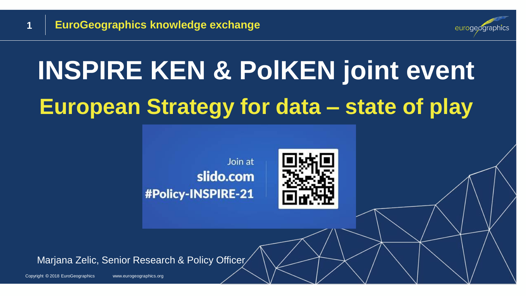

# **INSPIRE KEN & PolKEN joint event European Strategy for data – state of play**





Marjana Zelic, Senior Research & Policy Officer

Copyright © 2018 EuroGeographics www.eurogeographics.org

**1**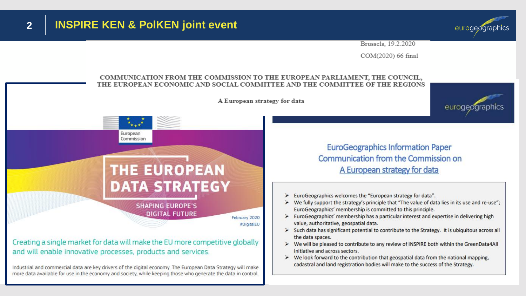

Brussels, 19.2.2020

COM(2020) 66 final

#### **COMMUNICATION FROM THE COMMISSION TO THE EUROPEAN PARLIAMENT, THE COUNCIL, THE EUROPEAN ECONOMIC AND SOCIAL COMMITTEE AND THE COMMITTEE OF THE REGIONS** A European strategy for data euroae European Commission **EuroGeographics Information Paper** Communication from the Commission on **THE EUROPEAN** A European strategy for data **DATA STRATEGY** > EuroGeographics welcomes the "European strategy for data". > We fully support the strategy's principle that "The value of data lies in its use and re-use"; **SHAPING EUROPE'S** EuroGeographics' membership is committed to this principle. **DIGITAL FUTURE**  $\triangleright$  EuroGeographics' membership has a particular interest and expertise in delivering high February 2020 value, authoritative, geospatial data. #DigitalEU > Such data has significant potential to contribute to the Strategy. It is ubiquitous across all the data spaces. Creating a single market for data will make the EU more competitive globally > We will be pleased to contribute to any review of INSPIRE both within the GreenData4All and will enable innovative processes, products and services. initiative and across sectors.  $\triangleright$  We look forward to the contribution that geospatial data from the national mapping, cadastral and land registration bodies will make to the success of the Strategy.

Industrial and commercial data are key drivers of the digital economy. The European Data Strategy will make more data available for use in the economy and society, while keeping those who generate the data in control.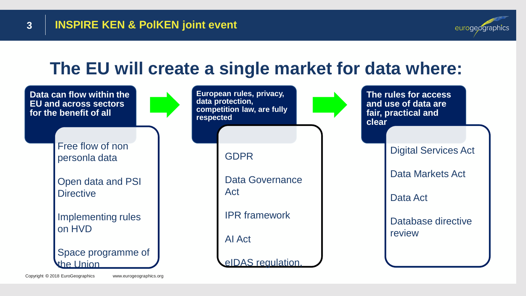**3**



### **The EU will create a single market for data where:**

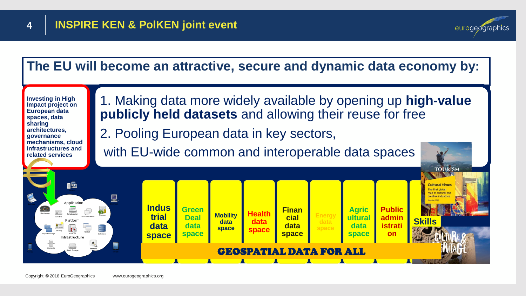![](_page_3_Picture_2.jpeg)

**TOURISM** 

![](_page_3_Figure_3.jpeg)

**Investing in High Impact project on European data spaces, data sharing architectures, governance mechanisms, cloud infrastructures and related services**

1. Making data more widely available by opening up **high-value publicly held datasets** and allowing their reuse for free

2. Pooling European data in key sectors,

with EU-wide common and interoperable data spaces

![](_page_3_Figure_8.jpeg)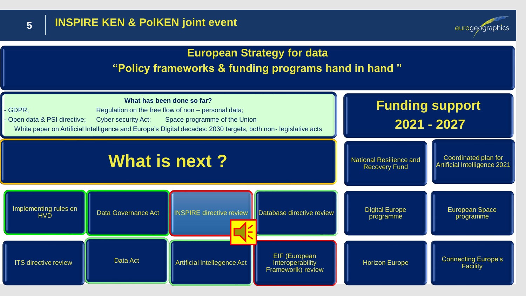![](_page_4_Picture_0.jpeg)

eurogeographics

### **European Strategy for data "Policy frameworks & funding programs hand in hand "**

![](_page_4_Figure_4.jpeg)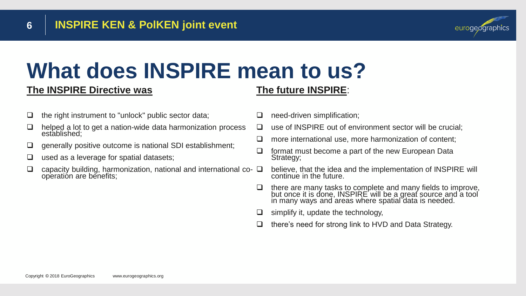![](_page_5_Picture_1.jpeg)

### **What does INSPIRE mean to us?**

#### **The INSPIRE Directive was**

### **The future INSPIRE**:

- ❑ the right instrument to "unlock" public sector data;
- helped a lot to get a nation-wide data harmonization process established;
- ❑ generally positive outcome is national SDI establishment;
- used as a leverage for spatial datasets;
- capacity building, harmonization, national and international co- $\Box$ operation are benefits;
- ❑ need-driven simplification;
- ❑ use of INSPIRE out of environment sector will be crucial;
- ❑ more international use, more harmonization of content;
- ❑ format must become a part of the new European Data Strategy;
	- believe, that the idea and the implementation of INSPIRE will continue in the future.
- ❑ there are many tasks to complete and many fields to improve, but once it is done, INSPIRE will be a great source and a tool in many ways and areas where spatial data is needed.
- simplify it, update the technology,
- ❑ there's need for strong link to HVD and Data Strategy.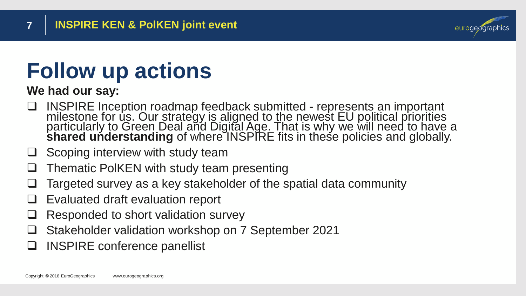![](_page_6_Picture_1.jpeg)

## **Follow up actions**

**We had our say:**

- ❑ INSPIRE Inception roadmap feedback submitted represents an important milestone for us. Our strategy is aligned to the newest EU political priorities particularly to Green Deal and Digital Age. That is why we will need to have a **shared understanding** of where INSPIRE fits in these policies and globally.
- Scoping interview with study team
- ❑ Thematic PolKEN with study team presenting
- Targeted survey as a key stakeholder of the spatial data community
- Evaluated draft evaluation report
- ❑ Responded to short validation survey
- ❑ Stakeholder validation workshop on 7 September 2021
- ❑ INSPIRE conference panellist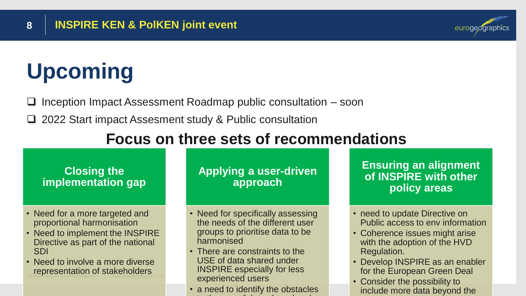# **Upcoming**

- ❑ Inception Impact Assessment Roadmap public consultation soon
- ❑ 2022 Start impact Assesment study & Public consultation

### **Focus on three sets of recommendations**

#### **Closing the implementation gap**

- Need for a more targeted and proportional harmonisation
- Need to implement the INSPIRE Directive as part of the national SDI
- **Copyright Europe Sentation of stakeholders** • Need to involve a more diverse

#### **Applying a user-driven approach**

- Need for specifically assessing the needs of the different user groups to prioritise data to be harmonised
- There are constraints to the USE of data shared under INSPIRE especially for less experienced users
- a need to identify the obstacles to the use of data shared under

**Ensuring an alignment of INSPIRE with other policy areas** 

eurogeographics

- need to update Directive on Public access to env information
- Coherence issues might arise with the adoption of the HVD Regulation.
- Develop INSPIRE as an enabler for the European Green Deal
- Consider the possibility to include more data beyond the